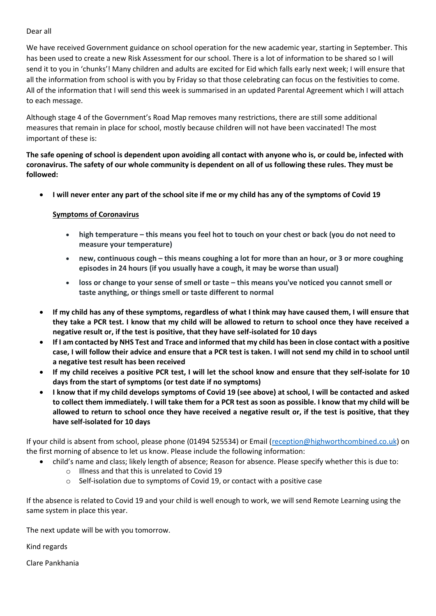Dear all

We have received Government guidance on school operation for the new academic year, starting in September. This has been used to create a new Risk Assessment for our school. There is a lot of information to be shared so I will send it to you in 'chunks'! Many children and adults are excited for Eid which falls early next week; I will ensure that all the information from school is with you by Friday so that those celebrating can focus on the festivities to come. All of the information that I will send this week is summarised in an updated Parental Agreement which I will attach to each message.

Although stage 4 of the Government's Road Map removes many restrictions, there are still some additional measures that remain in place for school, mostly because children will not have been vaccinated! The most important of these is:

**The safe opening of school is dependent upon avoiding all contact with anyone who is, or could be, infected with coronavirus. The safety of our whole community is dependent on all of us following these rules. They must be followed:**

**I will never enter any part of the school site if me or my child has any of the symptoms of Covid 19**

## **Symptoms of Coronavirus**

- **high temperature – this means you feel hot to touch on your chest or back (you do not need to measure your temperature)**
- **new, continuous cough – this means coughing a lot for more than an hour, or 3 or more coughing episodes in 24 hours (if you usually have a cough, it may be worse than usual)**
- **loss or change to your sense of smell or taste – this means you've noticed you cannot smell or taste anything, or things smell or taste different to normal**
- **If my child has any of these symptoms, regardless of what I think may have caused them, I will ensure that they take a PCR test. I know that my child will be allowed to return to school once they have received a negative result or, if the test is positive, that they have self-isolated for 10 days**
- **If I am contacted by NHS Test and Trace and informed that my child has been in close contact with a positive case, I will follow their advice and ensure that a PCR test is taken. I will not send my child in to school until a negative test result has been received**
- **If my child receives a positive PCR test, I will let the school know and ensure that they self-isolate for 10 days from the start of symptoms (or test date if no symptoms)**
- **I know that if my child develops symptoms of Covid 19 (see above) at school, I will be contacted and asked to collect them immediately. I will take them for a PCR test as soon as possible. I know that my child will be allowed to return to school once they have received a negative result or, if the test is positive, that they have self-isolated for 10 days**

If your child is absent from school, please phone (01494 525534) or Email [\(reception@highworthcombined.co.uk\)](mailto:reception@highworthcombined.co.uk) on the first morning of absence to let us know. Please include the following information:

- child's name and class; likely length of absence; Reason for absence. Please specify whether this is due to:
	- o Illness and that this is unrelated to Covid 19
	- o Self-isolation due to symptoms of Covid 19, or contact with a positive case

If the absence is related to Covid 19 and your child is well enough to work, we will send Remote Learning using the same system in place this year.

The next update will be with you tomorrow.

Kind regards

Clare Pankhania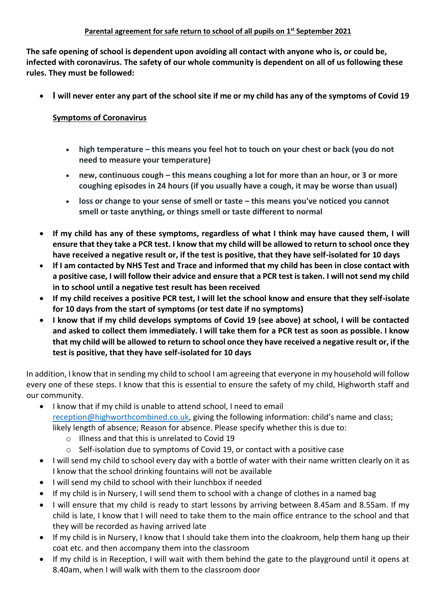**The safe opening of school is dependent upon avoiding all contact with anyone who is, or could be, infected with coronavirus. The safety of our whole community is dependent on all of us following these rules. They must be followed:**

**I will never enter any part of the school site if me or my child has any of the symptoms of Covid 19**

## **Symptoms of Coronavirus**

- **high temperature – this means you feel hot to touch on your chest or back (you do not need to measure your temperature)**
- **new, continuous cough – this means coughing a lot for more than an hour, or 3 or more coughing episodes in 24 hours (if you usually have a cough, it may be worse than usual)**
- **loss or change to your sense of smell or taste – this means you've noticed you cannot smell or taste anything, or things smell or taste different to normal**
- **If my child has any of these symptoms, regardless of what I think may have caused them, I will ensure that they take a PCR test. I know that my child will be allowed to return to school once they have received a negative result or, if the test is positive, that they have self-isolated for 10 days**
- **If I am contacted by NHS Test and Trace and informed that my child has been in close contact with a positive case, I will follow their advice and ensure that a PCR test is taken. I will not send my child in to school until a negative test result has been received**
- **If my child receives a positive PCR test, I will let the school know and ensure that they self-isolate for 10 days from the start of symptoms (or test date if no symptoms)**
- **I know that if my child develops symptoms of Covid 19 (see above) at school, I will be contacted and asked to collect them immediately. I will take them for a PCR test as soon as possible. I know that my child will be allowed to return to school once they have received a negative result or, if the test is positive, that they have self-isolated for 10 days**

In addition, I know that in sending my child to school I am agreeing that everyone in my household will follow every one of these steps. I know that this is essential to ensure the safety of my child, Highworth staff and our community.

- I know that if my child is unable to attend school, I need to email [reception@highworthcombined.co.uk](mailto:reception@highworthcombined.co.uk), giving the following information: child's name and class; likely length of absence; Reason for absence. Please specify whether this is due to:
	- o Illness and that this is unrelated to Covid 19
	- o Self-isolation due to symptoms of Covid 19, or contact with a positive case
- I will send my child to school every day with a bottle of water with their name written clearly on it as I know that the school drinking fountains will not be available
- I will send my child to school with their lunchbox if needed
- If my child is in Nursery, I will send them to school with a change of clothes in a named bag
- I will ensure that my child is ready to start lessons by arriving between 8.45am and 8.55am. If my child is late, I know that I will need to take them to the main office entrance to the school and that they will be recorded as having arrived late
- If my child is in Nursery, I know that I should take them into the cloakroom, help them hang up their coat etc. and then accompany them into the classroom
- If my child is in Reception, I will wait with them behind the gate to the playground until it opens at 8.40am, when I will walk with them to the classroom door